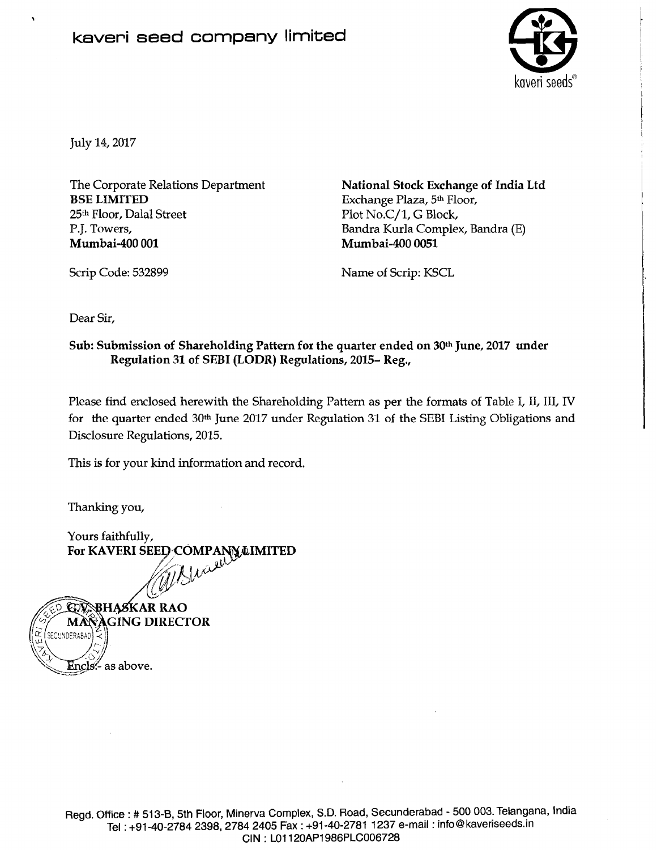

July 14,2017

**1** 

The Corporate Relations Department BSE LIMITED 25th Floor, Dalal Street P.J. Towers, Mumbai-400 001

National Stock Exchange of India Ltd Exchange Plaza, 5th Floor, Plot No.C/1, G Block, Bandra Kurla Complex, Bandra (E) Mumbai-400 0051

Scrip Code: 532899

Name of Scrip: KSCL

Dear Sir,

Sub: Submission of Shareholding Pattern for the quarter ended on 30th June, 2017 under Regulation 31 of SEBI (LODR) Regulations, 2015- Reg.,

Please find enclosed herewith the Shareholding Pattern as per the formats of Table I, II, III, IV for the quarter ended 30<sup>th</sup> June 2017 under Regulation 31 of the SEBI Listing Obligations and Disclosure Regulations, 2015.

This is for your kind information and record.

Thanking you,

Yours faithfully, For KAVERI SEED COMPANY LIMITED

**SBHASKAR RAO MANAGING DIRECTOR** SECUNDERABAD Encls:- as above.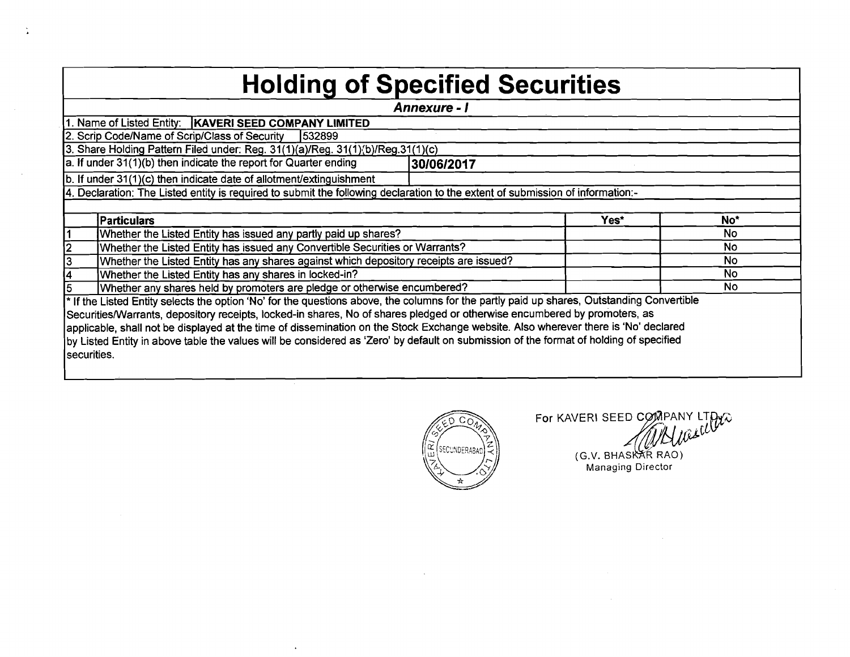## **Holding of Specified Securities**

| <b>Annexure - I</b> |                                                                                                                                            |            |      |                 |  |  |  |  |  |  |  |  |
|---------------------|--------------------------------------------------------------------------------------------------------------------------------------------|------------|------|-----------------|--|--|--|--|--|--|--|--|
|                     | 1. Name of Listed Entity:   KAVERI SEED COMPANY LIMITED                                                                                    |            |      |                 |  |  |  |  |  |  |  |  |
|                     | 2. Scrip Code/Name of Scrip/Class of Security<br>1532899                                                                                   |            |      |                 |  |  |  |  |  |  |  |  |
|                     | 3. Share Holding Pattern Filed under: Reg. 31(1)(a)/Reg. 31(1)(b)/Reg.31(1)(c)                                                             |            |      |                 |  |  |  |  |  |  |  |  |
|                     | a. If under $31(1)(b)$ then indicate the report for Quarter ending                                                                         | 30/06/2017 |      |                 |  |  |  |  |  |  |  |  |
|                     | b. If under 31(1)(c) then indicate date of allotment/extinguishment                                                                        |            |      |                 |  |  |  |  |  |  |  |  |
|                     | 4. Declaration: The Listed entity is required to submit the following declaration to the extent of submission of information:-             |            |      |                 |  |  |  |  |  |  |  |  |
|                     |                                                                                                                                            |            |      |                 |  |  |  |  |  |  |  |  |
|                     | <b>Particulars</b>                                                                                                                         |            | Yes* | No <sup>*</sup> |  |  |  |  |  |  |  |  |
|                     | Whether the Listed Entity has issued any partly paid up shares?                                                                            |            |      | <b>No</b>       |  |  |  |  |  |  |  |  |
|                     | Whether the Listed Entity has issued any Convertible Securities or Warrants?                                                               |            |      | <b>No</b>       |  |  |  |  |  |  |  |  |
|                     | Whether the Listed Entity has any shares against which depository receipts are issued?                                                     |            |      | <b>No</b>       |  |  |  |  |  |  |  |  |
|                     | Whether the Listed Entity has any shares in locked-in?                                                                                     |            |      | <b>No</b>       |  |  |  |  |  |  |  |  |
|                     | Whether any shares held by promoters are pledge or otherwise encumbered?                                                                   |            |      | <b>No</b>       |  |  |  |  |  |  |  |  |
|                     | * If the Listed Entity selects the option 'No' for the questions above, the columns for the partly paid up shares, Outstanding Convertible |            |      |                 |  |  |  |  |  |  |  |  |
|                     | Securities/Warrants, depository receipts, locked-in shares, No of shares pledged or otherwise encumbered by promoters, as                  |            |      |                 |  |  |  |  |  |  |  |  |
|                     | applicable, shall not be displayed at the time of dissemination on the Stock Exchange website. Also wherever there is 'No' declared        |            |      |                 |  |  |  |  |  |  |  |  |
|                     | by Listed Entity in above table the values will be considered as 'Zero' by default on submission of the format of holding of specified     |            |      |                 |  |  |  |  |  |  |  |  |
| securities.         |                                                                                                                                            |            |      |                 |  |  |  |  |  |  |  |  |
|                     |                                                                                                                                            |            |      |                 |  |  |  |  |  |  |  |  |



For KAVERI SEED COMPANY LTDUCK (G.V. BHASKAR RAO)

Managing Director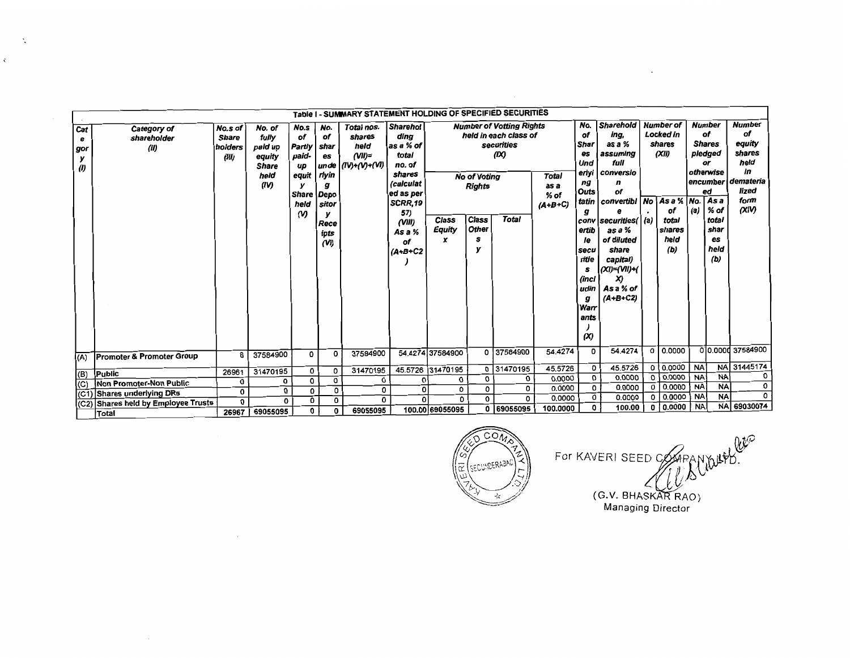|                                               | Table I - SUMMARY STATEMENT HOLDING OF SPECIFIED SECURITIES<br><b>Number</b><br><b>Number of</b><br><b>Number of Votting Rights</b> |                                             |                                                                      |                                                                                     |                                                                                |                                                           |                                                                                                                                                      |                      |                                                                    |                                                            |                                           |                                                                                                                                                                           |                                                                                                                                                                                                                                               |        |                                                                      |           |                                                                                                                             |                                                                                              |
|-----------------------------------------------|-------------------------------------------------------------------------------------------------------------------------------------|---------------------------------------------|----------------------------------------------------------------------|-------------------------------------------------------------------------------------|--------------------------------------------------------------------------------|-----------------------------------------------------------|------------------------------------------------------------------------------------------------------------------------------------------------------|----------------------|--------------------------------------------------------------------|------------------------------------------------------------|-------------------------------------------|---------------------------------------------------------------------------------------------------------------------------------------------------------------------------|-----------------------------------------------------------------------------------------------------------------------------------------------------------------------------------------------------------------------------------------------|--------|----------------------------------------------------------------------|-----------|-----------------------------------------------------------------------------------------------------------------------------|----------------------------------------------------------------------------------------------|
| Cat<br>е<br>gor<br>у<br>$\boldsymbol{\theta}$ | Category of<br>shareholder<br>(II)                                                                                                  | No.s of<br><b>Share</b><br>holders<br>(III) | No. of<br>fully<br>paid up<br>equity<br><b>Share</b><br>held<br>(IV) | No.s<br>of<br>Partly<br>paid-<br>up<br>equit<br>y<br>Share Depo<br>held<br>$\omega$ | No.<br>of<br>shar<br>es<br>unde<br>rlyin<br>g<br>sitor<br>Rece<br>ipts<br>(VI) | Total nos.<br>shares<br>held<br>$(VII)=$<br>(IV)+(V)+(VI) | <b>Sharehol</b><br>dina<br>as a % of<br>total<br>no. of<br>shares<br>(calculat<br>ed as per<br>SCRR.19<br>57)<br>(VIII)<br>As a %<br>of<br>$(A+B+C2$ | Class<br>Equity<br>x | <b>No of Voting</b><br><b>Rights</b><br>Class<br><b>Other</b><br>s | held in each class of<br>securities<br>(X)<br><b>Total</b> | <b>Total</b><br>as a<br>% of<br>$(A+B+C)$ | No.<br>of<br><b>Shar</b><br>es<br>Und<br>erlyi<br>ng<br>Outs<br>tatin<br>g<br>conv<br>ertib<br>le<br>secu<br>ritie<br>s<br>(incl<br>udin<br>g<br>Warr<br>ants<br>$\infty$ | <b>Sharehold</b><br>ing,<br>as a %<br>assuming<br>full<br>conversio<br>n<br>of<br>convertibi   No   As a %   No.<br> securities(   (a)<br>as a %<br>of diluted<br>share<br>capital)<br>  <i>(XI)=(VII)+(</i><br>X)<br>As a % of<br>$(A+B+C2)$ |        | Locked in<br>shares<br>(XII)<br>of<br>total<br>shares<br>held<br>(b) | (a)       | of<br><b>Shares</b><br>pledged<br>or<br>otherwise<br>encumber<br>еđ<br>As a<br>$%$ of<br>total<br>shar<br>es<br>held<br>(b) | <b>Number</b><br>of<br>equity<br>shares<br>held<br>in<br>demateria<br>lized<br>form<br>(XIV) |
| (A)                                           | <b>Promoter &amp; Promoter Group</b>                                                                                                | 6                                           | 37584900                                                             | 0                                                                                   | 0                                                                              | 37584900                                                  |                                                                                                                                                      | 54.4274 37584900     |                                                                    | 0 37584900                                                 | 54.4274                                   | 0                                                                                                                                                                         | 54.4274                                                                                                                                                                                                                                       |        | $0$ 0.0000                                                           |           |                                                                                                                             | 00.0000 37584900                                                                             |
| (B)                                           | Public                                                                                                                              | 26961                                       | 31470195                                                             | 0                                                                                   | 0                                                                              | 31470195                                                  |                                                                                                                                                      | 45.5726 31470195     |                                                                    | 0 31470195                                                 | 45.5726                                   | 0                                                                                                                                                                         | 45.5726                                                                                                                                                                                                                                       |        | 0   0.0000                                                           | <b>NA</b> |                                                                                                                             | NA 31445174                                                                                  |
| (C)                                           | Non Promoter-Non Public                                                                                                             | O                                           | 0                                                                    | O                                                                                   | 0                                                                              | 0                                                         | Ω                                                                                                                                                    | O                    | 0                                                                  | 0                                                          | 0.0000                                    | O                                                                                                                                                                         | 0.0000                                                                                                                                                                                                                                        |        | 0   0.0000                                                           | <b>NA</b> | <b>NA</b><br><b>NA</b>                                                                                                      | 0<br>0                                                                                       |
| I(C1                                          | <b>Shares underlying DRs</b>                                                                                                        | 0                                           | 0                                                                    | $\mathbf 0$                                                                         | 0                                                                              | 0                                                         | 0                                                                                                                                                    | 0                    | 0                                                                  | 0                                                          | 0.0000                                    | 0                                                                                                                                                                         | 0.0000                                                                                                                                                                                                                                        |        | 0 0.0000                                                             | <b>NA</b> |                                                                                                                             | 0                                                                                            |
|                                               | Shares held by Employee Trusts                                                                                                      | 0                                           | 0                                                                    | 0                                                                                   | 0                                                                              | 0                                                         | $\Omega$                                                                                                                                             | 0                    | $\Omega$                                                           | O                                                          | 0.0000                                    | 0                                                                                                                                                                         | 0.0000                                                                                                                                                                                                                                        |        | 0.0000                                                               | <b>NA</b> | <b>NA</b>                                                                                                                   |                                                                                              |
|                                               | Total                                                                                                                               | 26967                                       | 69055095                                                             | 0                                                                                   | $\mathbf 0$                                                                    | 69055095                                                  |                                                                                                                                                      | 100.00 69055095      |                                                                    | 0 69055095                                                 | 100.0000                                  | $\mathbf{0}$                                                                                                                                                              | 100.00                                                                                                                                                                                                                                        | 0.0000 |                                                                      | <b>NA</b> |                                                                                                                             | NA 69030074                                                                                  |

 $\Delta$ 

 $\zeta$ 



For KAVERI SEED COMPANYUSED.<br>(G.V. BHASKAR RAO)<br>Managing Director

and the state of the state of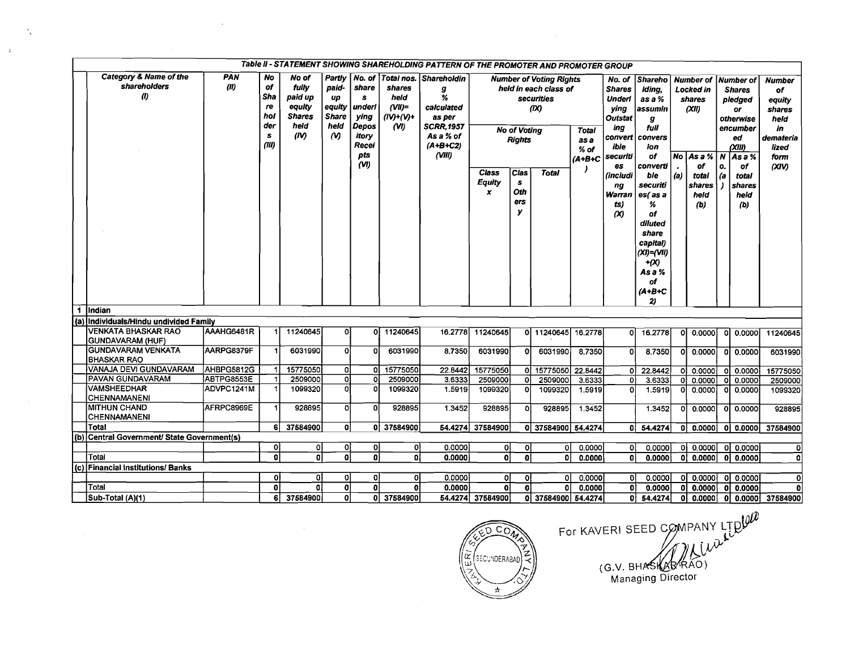| Table II - STATEMENT SHOWING SHAREHOLDING PATTERN OF THE PROMOTER AND PROMOTER GROUP<br>Category & Name of the<br>PAN<br><b>No</b><br>No. of<br>Total nos.<br>No of<br>Partiv<br><b>Shareholdin</b><br>Number of Number of |                                                       |            |                                             |                                                             |                                                                        |                                                                        |                                                      |                                                                                                                            |                    |                                                                            |                    |              |                                 |                                                                                                                              |          |                                             |    |                       |                 |  |  |  |  |  |  |   |  |                                                                                                                     |                                                                                                |     |                                                                 |             |                                                                                                |                                                                                             |
|----------------------------------------------------------------------------------------------------------------------------------------------------------------------------------------------------------------------------|-------------------------------------------------------|------------|---------------------------------------------|-------------------------------------------------------------|------------------------------------------------------------------------|------------------------------------------------------------------------|------------------------------------------------------|----------------------------------------------------------------------------------------------------------------------------|--------------------|----------------------------------------------------------------------------|--------------------|--------------|---------------------------------|------------------------------------------------------------------------------------------------------------------------------|----------|---------------------------------------------|----|-----------------------|-----------------|--|--|--|--|--|--|---|--|---------------------------------------------------------------------------------------------------------------------|------------------------------------------------------------------------------------------------|-----|-----------------------------------------------------------------|-------------|------------------------------------------------------------------------------------------------|---------------------------------------------------------------------------------------------|
|                                                                                                                                                                                                                            | <b>shareholders</b><br>$\omega$                       | (11)       | of<br>Sha<br>re<br>hol<br>der<br>s<br>(III) | fully<br>paid up<br>equity<br><b>Shares</b><br>held<br>(IV) | paid-<br>up<br>equity<br><b>Share</b><br>held<br>$\boldsymbol{\omega}$ | share<br>s<br>underl<br>ying<br>Depos<br>itory<br>Recei<br>pts<br>(VI) | shares<br>heid<br>$(VII)=$<br>$(IV) + (V) +$<br>(VI) | g<br>%<br>calculated<br>as per<br><b>SCRR, 1957</b><br>As a % of<br><b>Rights</b><br>$(A+B+C2)$<br>(VIII)<br>Cias<br>Class |                    | <b>Number of Voting Rights</b><br>securities<br>(X)<br><b>No of Voting</b> |                    | <b>Total</b> |                                 | held in each class of                                                                                                        |          | <b>Total</b><br>as a<br>$%$ of<br>$(A+B+C)$ |    |                       |                 |  |  |  |  |  |  | s |  | No. of<br><b>Shares</b><br><b>Underl</b><br>ying<br>Outstat<br>ina<br>convert<br>ibie<br>securiti<br>es<br>(includi | Shareho<br>Iding,<br>as a %<br>assumin<br>g<br>full<br>convers<br>ion<br>of<br>converti<br>ble | (a) | Locked in<br>shares<br>(XII)<br>$No As a \%   N$<br>of<br>total | ۱о.<br>l (a | <b>Shares</b><br>pledged<br>or<br>otherwise<br>encumber<br>ed<br>(XIII)<br>Asa%<br>of<br>total | <b>Number</b><br>of<br>equity<br>shares<br>held<br>in<br>demateria<br>lized<br>form<br>(XY) |
|                                                                                                                                                                                                                            |                                                       |            |                                             |                                                             |                                                                        |                                                                        |                                                      |                                                                                                                            | <b>Equity</b><br>x | Oth<br>ers<br>У                                                            |                    |              | ng<br>Warran<br>ts)<br>$\infty$ | securiti<br>es(as a<br>℅<br>of<br>diluted<br>share<br>capital)<br>$(XI)=Y(VI)$<br>$+ (X)$<br>As a %<br>оf<br>$(A+B+C)$<br>2) |          | shares<br>held<br>(b)                       |    | shares<br>held<br>(b) |                 |  |  |  |  |  |  |   |  |                                                                                                                     |                                                                                                |     |                                                                 |             |                                                                                                |                                                                                             |
|                                                                                                                                                                                                                            | 1 Indian                                              |            |                                             |                                                             |                                                                        |                                                                        |                                                      |                                                                                                                            |                    |                                                                            |                    |              |                                 |                                                                                                                              |          |                                             |    |                       |                 |  |  |  |  |  |  |   |  |                                                                                                                     |                                                                                                |     |                                                                 |             |                                                                                                |                                                                                             |
|                                                                                                                                                                                                                            | (a) Individuals/Hindu undivided Family                |            |                                             |                                                             |                                                                        |                                                                        |                                                      |                                                                                                                            |                    |                                                                            |                    |              |                                 |                                                                                                                              |          |                                             |    |                       |                 |  |  |  |  |  |  |   |  |                                                                                                                     |                                                                                                |     |                                                                 |             |                                                                                                |                                                                                             |
|                                                                                                                                                                                                                            | <b>VENKATA BHASKAR RAO</b><br><b>GUNDAVARAM (HUF)</b> | AAAHG6481R |                                             | 11240645                                                    | 0                                                                      |                                                                        | 0 11240645                                           | 16.2778                                                                                                                    | 11240645           |                                                                            | 0 11240645         | 16.2778      | ol                              | 16.2778                                                                                                                      | $\Omega$ | 0.0000                                      | οI | 0.0000                | 11240645        |  |  |  |  |  |  |   |  |                                                                                                                     |                                                                                                |     |                                                                 |             |                                                                                                |                                                                                             |
|                                                                                                                                                                                                                            | GUNDAVARAM VENKATA<br><b>BHASKAR RAO</b>              | AARPG8379F |                                             | 6031990                                                     | ٥l                                                                     | n                                                                      | 6031990                                              | 8,7350                                                                                                                     | 6031990            | οI                                                                         | 6031990            | 8.7350       | Ωl                              | 8.7350                                                                                                                       |          | 0.0000                                      |    | 0 0.0000              | 6031990         |  |  |  |  |  |  |   |  |                                                                                                                     |                                                                                                |     |                                                                 |             |                                                                                                |                                                                                             |
|                                                                                                                                                                                                                            | VANAJA DEVI GUNDAVARAM                                | AHBPG5812G |                                             | 15775050                                                    | ol                                                                     | n١                                                                     | 15775050                                             | 22.8442                                                                                                                    | 15775050           |                                                                            | 0 15775050 22.8442 |              | ٥l                              | 22.8442                                                                                                                      | οl       | 0.0000                                      | ΩI | 0.0000                | 15775050        |  |  |  |  |  |  |   |  |                                                                                                                     |                                                                                                |     |                                                                 |             |                                                                                                |                                                                                             |
|                                                                                                                                                                                                                            | <b>PAVAN GUNDAVARAM</b>                               | ABTPG8553E |                                             | 2509000                                                     | ol                                                                     | $\Omega$                                                               | 2509000                                              | 3.6333                                                                                                                     | 2509000            | οl                                                                         | 2509000            | 3.6333       | $\mathbf{0}$                    | 3.6333                                                                                                                       | ΩI       | 0.0000                                      | οl | 0.0000                | 2509000         |  |  |  |  |  |  |   |  |                                                                                                                     |                                                                                                |     |                                                                 |             |                                                                                                |                                                                                             |
|                                                                                                                                                                                                                            | <b>VAMSHEEDHAR</b><br><b>CHENNAMANENI</b>             | ADVPC1241M |                                             | 1099320                                                     | ol                                                                     | n                                                                      | 1099320                                              | 1.5919                                                                                                                     | 1099320            | $\mathbf{0}$                                                               | 1099320            | 1.5919       | 0                               | 1.5919                                                                                                                       |          | 0.0000                                      | ΩI | 0.0000                | 1099320         |  |  |  |  |  |  |   |  |                                                                                                                     |                                                                                                |     |                                                                 |             |                                                                                                |                                                                                             |
|                                                                                                                                                                                                                            | <b>IMITHUN CHAND</b><br><b>CHENNAMANENI</b>           | AFRPC8969E |                                             | 928895                                                      | ol                                                                     | $\Omega$                                                               | 928895                                               | 1.3452                                                                                                                     | 928895             | οl                                                                         | 928895             | 1.3452       |                                 | 1.3452                                                                                                                       | ΩI       | 0.0000                                      | οI | 0.0000                | 928895          |  |  |  |  |  |  |   |  |                                                                                                                     |                                                                                                |     |                                                                 |             |                                                                                                |                                                                                             |
|                                                                                                                                                                                                                            | Total                                                 |            | 6                                           | 37584900                                                    | ol                                                                     |                                                                        | 0 37584900                                           | 54.4274                                                                                                                    | 37584900           |                                                                            | 0 37584900 54.4274 |              | 0ì                              | 54.4274                                                                                                                      | οŀ       | 0.0000                                      |    | 0 0.0000              | 37584900        |  |  |  |  |  |  |   |  |                                                                                                                     |                                                                                                |     |                                                                 |             |                                                                                                |                                                                                             |
|                                                                                                                                                                                                                            | (b) Central Government/ State Government(s)           |            |                                             |                                                             |                                                                        |                                                                        |                                                      |                                                                                                                            |                    |                                                                            |                    |              |                                 |                                                                                                                              |          |                                             |    |                       |                 |  |  |  |  |  |  |   |  |                                                                                                                     |                                                                                                |     |                                                                 |             |                                                                                                |                                                                                             |
|                                                                                                                                                                                                                            |                                                       |            | 0                                           | 이                                                           | οl                                                                     | ol                                                                     | 0ļ                                                   | 0.0000                                                                                                                     | 0                  | ol                                                                         | οI                 | 0.0000       | 0l                              | 0.0000                                                                                                                       |          | $\overline{0}$ 0.0000                       |    | ol 0.0000             | $\Omega$        |  |  |  |  |  |  |   |  |                                                                                                                     |                                                                                                |     |                                                                 |             |                                                                                                |                                                                                             |
|                                                                                                                                                                                                                            | Total                                                 |            | $\Omega$                                    | ΩĪ                                                          | ol                                                                     | ΩI                                                                     | oi                                                   | 0.0000                                                                                                                     | Ωİ                 | οl                                                                         | $\Omega$           | 0.0000       | ٥l                              | 0.0000                                                                                                                       | ΩI       | 0.00001                                     |    | 0 0.0000              | $\Omega$        |  |  |  |  |  |  |   |  |                                                                                                                     |                                                                                                |     |                                                                 |             |                                                                                                |                                                                                             |
|                                                                                                                                                                                                                            | (c) Financial Institutions/Banks                      |            |                                             |                                                             |                                                                        |                                                                        |                                                      |                                                                                                                            |                    |                                                                            |                    |              |                                 |                                                                                                                              |          |                                             |    |                       |                 |  |  |  |  |  |  |   |  |                                                                                                                     |                                                                                                |     |                                                                 |             |                                                                                                |                                                                                             |
|                                                                                                                                                                                                                            |                                                       |            | 0                                           | 01                                                          | οl                                                                     | οl                                                                     | οI                                                   | 0.0000                                                                                                                     | 0l                 | οl                                                                         | $\Omega$           | 0.0000       | οl                              | 0.0000                                                                                                                       |          | $ 0 $ 0.0000                                | ٥I | 0.0000                | ٥l              |  |  |  |  |  |  |   |  |                                                                                                                     |                                                                                                |     |                                                                 |             |                                                                                                |                                                                                             |
|                                                                                                                                                                                                                            | Total                                                 |            | $\mathbf{0}$                                | $\Omega$                                                    | 0                                                                      | ۵l                                                                     | $\mathbf{0}$                                         | 0.0000                                                                                                                     | ۵ł                 | ۵I                                                                         | $\mathbf{0}$       | 0.0000       | 0I                              | 0.0000                                                                                                                       | οI       | 0.0000                                      | οI | 0.0000                | O               |  |  |  |  |  |  |   |  |                                                                                                                     |                                                                                                |     |                                                                 |             |                                                                                                |                                                                                             |
|                                                                                                                                                                                                                            | Sub-Total (A)(1)                                      |            | 6.                                          | 37584900                                                    | ٥l                                                                     |                                                                        | 0 37584900                                           |                                                                                                                            | 54.4274 37584900   |                                                                            | 0 37584900 54.4274 |              | 0I.                             | 54.4274                                                                                                                      |          | 0 0.0000                                    | οI |                       | 0.0000 37584900 |  |  |  |  |  |  |   |  |                                                                                                                     |                                                                                                |     |                                                                 |             |                                                                                                |                                                                                             |

 $\mathcal{L}^{\mathcal{L}}$ 

 $\langle \cdot \rangle_{\rm c}$ 

 $\hat{\chi}$ 

 $\overline{O}$   $\overline{O}$ ا بر<br>اب SECUNDERABAD

 $\sim$ 

For KAVERI SEED COMPANY LTDULE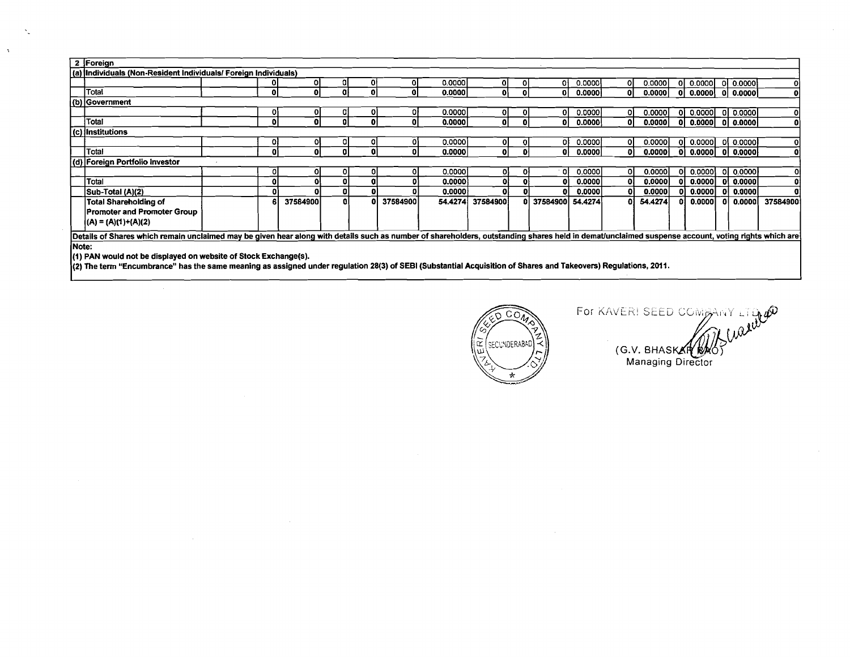|       | 2 Foreign                                                                                                                                                                                          |  |  |          |    |    |          |         |          |    |                    |         |    |         |              |                     |            |              |
|-------|----------------------------------------------------------------------------------------------------------------------------------------------------------------------------------------------------|--|--|----------|----|----|----------|---------|----------|----|--------------------|---------|----|---------|--------------|---------------------|------------|--------------|
|       | (a) Individuals (Non-Resident Individuals/ Foreign Individuals)                                                                                                                                    |  |  |          |    |    |          |         |          |    |                    |         |    |         |              |                     |            |              |
|       |                                                                                                                                                                                                    |  |  | Οl       | οı |    |          | 0.0000  |          |    | ٥i                 | 0.0000  | οı | 0.0000  | ΩI           | 0.0000              | 0.0000     |              |
|       | Total                                                                                                                                                                                              |  |  | O        | ۵ŀ |    |          | 0.0000  | ٥I       |    | οI                 | 0.0000  | 01 | 0.0000  |              | 0.0000              | 0.0000     | 0            |
|       | (b) Government                                                                                                                                                                                     |  |  |          |    |    |          |         |          |    |                    |         |    |         |              |                     |            |              |
|       |                                                                                                                                                                                                    |  |  | o        | OI | o  | 01       | 0.0000  | ΟI       |    | ٥I                 | 0.0000  | οI | 0.0000  | οı           | 0.0000              | 0.0000 0   |              |
|       | Total                                                                                                                                                                                              |  |  | ΩI       | ΩI |    | 01       | 0.0000  | ΩI       |    | ΩI                 | 0.00001 | 01 | 0.0000  | οl           | 0.0000   0   0.0000 |            |              |
|       | (c) Institutions<br>$0.0000$ 0 $0.0000$                                                                                                                                                            |  |  |          |    |    |          |         |          |    |                    |         |    |         |              |                     |            |              |
|       |                                                                                                                                                                                                    |  |  |          |    |    |          | 0.0000  | 01       |    | ΩI                 | 0.0000  | οı | 0.0000  | ΩI           |                     |            |              |
|       | Total                                                                                                                                                                                              |  |  |          |    |    |          | 0.0000  | 0        |    | ٥I                 | 0.0000  |    | 0.0000  | $\mathbf{0}$ | $0.0000$ 0 $0.0000$ |            | $\mathbf{0}$ |
|       | (d) Foreign Portfolio Investor                                                                                                                                                                     |  |  |          |    |    |          |         |          |    |                    |         |    |         |              |                     |            |              |
|       |                                                                                                                                                                                                    |  |  | Ω        |    | п  |          | 0.00001 | οI       | οı | οl                 | 0.0000  | 01 | 0.0000  | Οl           | 0.0000              | ol 0.00001 | οl           |
|       | Total                                                                                                                                                                                              |  |  |          |    |    |          | 0.0000  | ٥l       |    |                    | 0.0000  | Ωl | 0.0000  | Ωl           | 0.0000              | 0 0.0000   | 01           |
|       | Sub-Total (A)(2)                                                                                                                                                                                   |  |  |          |    | ĐΙ |          | 0.0000  | Οl       |    |                    | 0.0000  | ΩI | 0.0000  |              | 0.0000              | 0 0.0000   | -01          |
|       | <b>Total Shareholding of</b>                                                                                                                                                                       |  |  | 37584900 | a. | ٥I | 37584900 | 54.4274 | 37584900 |    | 0 37584900 54.4274 |         | oн | 54.4274 |              | 0.0000              | 0 0.0000   | 37584900     |
|       | <b>Promoter and Promoter Group</b>                                                                                                                                                                 |  |  |          |    |    |          |         |          |    |                    |         |    |         |              |                     |            |              |
|       | $(A) = (A)(1)+(A)(2)$                                                                                                                                                                              |  |  |          |    |    |          |         |          |    |                    |         |    |         |              |                     |            |              |
|       | Details of Shares which remain unclaimed may be given hear along with details such as number of shareholders, outstanding shares held in demat/unclaimed suspense account, voting rights which are |  |  |          |    |    |          |         |          |    |                    |         |    |         |              |                     |            |              |
| Note: |                                                                                                                                                                                                    |  |  |          |    |    |          |         |          |    |                    |         |    |         |              |                     |            |              |
|       |                                                                                                                                                                                                    |  |  |          |    |    |          |         |          |    |                    |         |    |         |              |                     |            |              |
|       | (1) PAN would not be displayed on website of Stock Exchange(s).                                                                                                                                    |  |  |          |    |    |          |         |          |    |                    |         |    |         |              |                     |            |              |

(2) The term "Encumbrance" has the same meaning as assigned under regulation 28(3) of SEBl (Substantial Acquisition of Shares and Takeovers) Regulations, 2011.

 $\mathbf{v}_1$ 

 $\Delta$ 



 $(G.V.$  BHASKAR WAG Managing Direct

 $\mathcal{L}$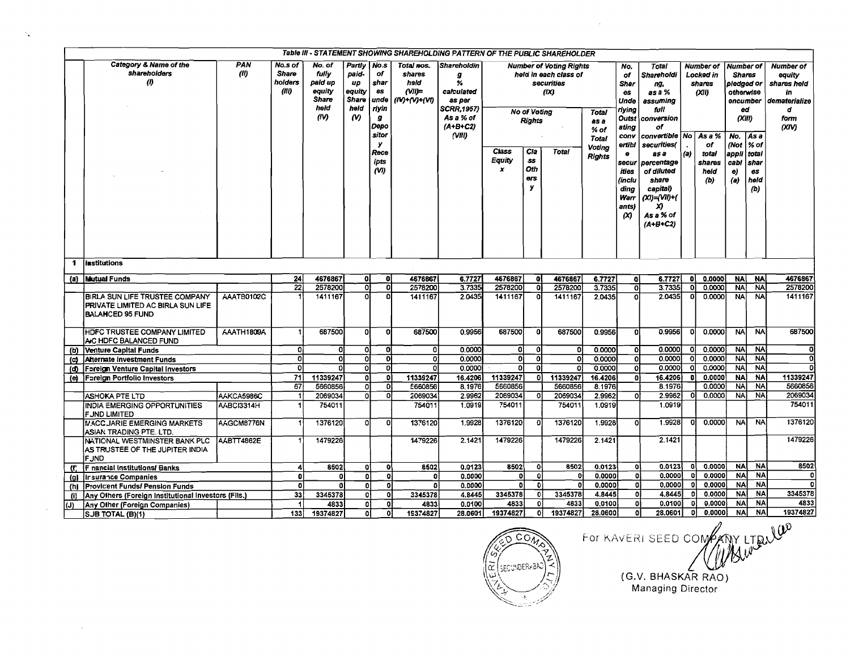| Table III - STATEMENT SHOWING SHAREHOLDING PATTERN OF THE PUBLIC SHAREHOLDER<br><b>Number of Votina Rights</b> |                                                                                                       |                   |                                             |                                                                      |                                                       |                                                                                              |                                                                 |                                                                                                                 |                              |                                                               |                                                            |                                                                  |                                                                                                                                                             |                                                                                                                                                                                                                                        |       |                                                                                                     |                                                                                                                                             |                                                |                                                                                 |
|----------------------------------------------------------------------------------------------------------------|-------------------------------------------------------------------------------------------------------|-------------------|---------------------------------------------|----------------------------------------------------------------------|-------------------------------------------------------|----------------------------------------------------------------------------------------------|-----------------------------------------------------------------|-----------------------------------------------------------------------------------------------------------------|------------------------------|---------------------------------------------------------------|------------------------------------------------------------|------------------------------------------------------------------|-------------------------------------------------------------------------------------------------------------------------------------------------------------|----------------------------------------------------------------------------------------------------------------------------------------------------------------------------------------------------------------------------------------|-------|-----------------------------------------------------------------------------------------------------|---------------------------------------------------------------------------------------------------------------------------------------------|------------------------------------------------|---------------------------------------------------------------------------------|
|                                                                                                                | Category & Name of the<br>shareholders<br>(1)                                                         | PAN<br>(10)       | No.s of<br><b>Share</b><br>holders<br>(III) | No. of<br>fully<br>paid up<br>equity<br><b>Share</b><br>held<br>(IV) | Partiy<br>paid-<br>UD<br>equity<br>Share<br>held<br>Μ | No.s<br>of<br>shar<br>es<br>unde<br>riyin<br>g<br>Depo<br>sitor<br>У<br>Rece<br>ipts<br>(VI) | Total nos.<br>shares<br>held<br>$(VII)=$<br>$(IV) + (V) + (VI)$ | <b>Shareholdin</b><br>g<br>%<br>calculated<br>as per<br><b>SCRR, 1957)</b><br>As a % of<br>$(A+B+C2)$<br>(VIII) | Class<br>Equity<br>$\pmb{x}$ | <b>No of Voting</b><br>Rights<br>C/a<br>55<br>Oth<br>ers<br>У | held in each class of<br>securities<br>(X)<br><b>Total</b> | <b>Total</b><br>as a<br>% of<br>Total<br><b>Voting</b><br>Rights | No.<br>of<br><b>Shar</b><br>es<br>Unde<br>riving<br>Outst<br>ating<br>conv<br>ertibl<br>$\bullet$<br>secur<br>ities<br>(inclu<br>ding<br>Warr<br>ants)<br>α | <b>Total</b><br>Shareholdi<br>ng,<br>as a %<br>assuming<br>full<br>conversion<br>of<br>convertible   No<br>securities(<br>as a<br>percentage<br>of diluted<br>share<br>capital)<br>$(X1) = (V11) + ($<br>X)<br>As a % of<br>$(A+B+C2)$ | (a)   | <b>Number of</b><br>Locked in<br>shares<br>(0.01)<br>As a %<br>of<br>total<br>shares<br>held<br>(b) | Number of<br><b>Shares</b><br>pledged or<br>otherwise<br>encumber<br>ed<br>$\alpha$ iin<br>No.<br>(Not   % of<br>appli<br>cabl<br>e)<br>(a) | l As a<br>l total<br>shar<br>es<br>held<br>(b) | Number of<br>equity<br>shares held<br>in<br>dematerialize<br>d<br>form<br>(XIV) |
| 1                                                                                                              | <i><b>linstitutions</b></i>                                                                           |                   |                                             |                                                                      |                                                       |                                                                                              |                                                                 |                                                                                                                 |                              |                                                               |                                                            |                                                                  |                                                                                                                                                             |                                                                                                                                                                                                                                        |       |                                                                                                     |                                                                                                                                             |                                                |                                                                                 |
|                                                                                                                | (a) Mutual Funds                                                                                      |                   | 24                                          | 4676867                                                              | ol                                                    | οl                                                                                           | 4676867                                                         | 6.7727                                                                                                          | 4676867                      | οĮ                                                            | 4676867                                                    | 6.7727                                                           | ol                                                                                                                                                          | 6.7727                                                                                                                                                                                                                                 | ol    | 0.0000                                                                                              | <b>NA</b>                                                                                                                                   | <b>NA</b>                                      | 4676867                                                                         |
|                                                                                                                |                                                                                                       |                   | $\overline{22}$                             | 2578200                                                              | σI                                                    | ō                                                                                            | 2578200                                                         | 3.7335                                                                                                          | 2578200                      | ०।                                                            | 2578200                                                    | 3.7335                                                           | οl                                                                                                                                                          | 3.7335                                                                                                                                                                                                                                 | οI    | 0.0000                                                                                              | <b>NA</b>                                                                                                                                   | <b>NA</b>                                      | 2578200                                                                         |
|                                                                                                                | BIRLA SUN LIFE TRUSTEE COMPANY<br><b>PRIVATE LIMITED AC BIRLA SUN LIFE</b><br><b>BALANCED 95 FUND</b> | AAATB0102C        |                                             | 1411167                                                              | οI                                                    | $\Omega$                                                                                     | 1411167                                                         | 2.0435                                                                                                          | 1411167                      | ٥l                                                            | 1411167                                                    | 2.0435                                                           | $\Omega$                                                                                                                                                    | 2.0435                                                                                                                                                                                                                                 | o     | 0.0000                                                                                              | <b>NA</b>                                                                                                                                   | <b>NA</b>                                      | 1411167                                                                         |
|                                                                                                                | <b>IHDFC TRUSTEE COMPANY LIMITED</b><br>AC HDFC BALANCED FUND                                         | AAATH1809A        |                                             | 687500                                                               | ٥I                                                    | $\overline{0}$                                                                               | 687500                                                          | 0.9956                                                                                                          | 687500                       | οl                                                            | 687500                                                     | 0.9956                                                           | n                                                                                                                                                           | 0.9956                                                                                                                                                                                                                                 |       | 0.0000                                                                                              | <b>NA</b>                                                                                                                                   | <b>NA</b>                                      | 687500                                                                          |
| (b)                                                                                                            | Venture Capital Funds                                                                                 |                   | οI                                          | 0l                                                                   | O]                                                    | 0l                                                                                           | οI                                                              | 0.0000                                                                                                          | οI                           | 0                                                             | οl                                                         | 0.0000                                                           | ٥I                                                                                                                                                          | 0.0000                                                                                                                                                                                                                                 | 01    | 0.0000                                                                                              | <b>NA</b>                                                                                                                                   | <b>NA</b>                                      | -OI                                                                             |
| (၄)                                                                                                            | <b>Alternate Investment Funds</b>                                                                     |                   | οI                                          | ol                                                                   | ol                                                    | ol                                                                                           | Οİ                                                              | 0.0000                                                                                                          | ol                           | $\overline{\mathbf{0}}$                                       | οI                                                         | 0.0000                                                           | οľ                                                                                                                                                          | 0.0000                                                                                                                                                                                                                                 | O.    | 0.0000                                                                                              | <b>NA</b>                                                                                                                                   | <b>NA</b>                                      | οI                                                                              |
|                                                                                                                | (d) Foreign Venture Capital Investors                                                                 |                   | 0                                           | ٥I                                                                   | οI                                                    | ol                                                                                           | ol                                                              | 0.0000                                                                                                          | ٥I                           | οl                                                            | ol                                                         | 0.0000                                                           | οI                                                                                                                                                          | 0.0000                                                                                                                                                                                                                                 |       | 0.0000                                                                                              | <b>NA</b>                                                                                                                                   | <b>NA</b>                                      |                                                                                 |
|                                                                                                                | (e) Foreign Portfolio Investors                                                                       |                   | 71                                          | 11339247                                                             | 0)                                                    | 0Ì                                                                                           | 11339247                                                        | 16.4206                                                                                                         | 11339247                     | 0l                                                            | 11339247                                                   | 16.4206                                                          | ۵I                                                                                                                                                          | 16.4206                                                                                                                                                                                                                                |       | 0.0000                                                                                              | <b>NA</b>                                                                                                                                   | <b>NA</b>                                      | 11339247                                                                        |
|                                                                                                                |                                                                                                       |                   | 67                                          | 5660856                                                              | o                                                     | $\overline{0}$                                                                               | £660856                                                         | 8,1976                                                                                                          | 5660856                      |                                                               | 5660856                                                    | 8.1976                                                           |                                                                                                                                                             | 8.1976                                                                                                                                                                                                                                 |       | 0.0000                                                                                              | <b>NA</b>                                                                                                                                   | <b>NA</b>                                      | 5660856                                                                         |
|                                                                                                                | <b>ASHOKA PTE LTD</b>                                                                                 | AAKCA5986C        |                                             | 2069034                                                              | ٥l                                                    | $\overline{0}$                                                                               | 2069034                                                         | 2.9962                                                                                                          | 2069034                      | Ω                                                             | 2069034                                                    | 2.9962                                                           | nı                                                                                                                                                          | 2.9962                                                                                                                                                                                                                                 | οl    | 0,0000                                                                                              | <b>NA</b>                                                                                                                                   | <b>NA</b>                                      | 2069034                                                                         |
|                                                                                                                | INDIA EMERGING OPPORTUNITIES<br>F JND LIMITED                                                         | AABCI3314H        |                                             | 754011                                                               |                                                       |                                                                                              | 754011                                                          | 1.0919                                                                                                          | 754011                       |                                                               | 754011                                                     | 1.0919                                                           |                                                                                                                                                             | 1.0919                                                                                                                                                                                                                                 |       |                                                                                                     |                                                                                                                                             |                                                | 754011                                                                          |
|                                                                                                                | <b>MACC JARIE EMERGING MARKETS</b><br>ASIAN TRADING PTE. LTD.                                         | AAGCM8776N        |                                             | 1376120                                                              | ٥l                                                    | Ω                                                                                            | 1376120                                                         | 1,9928                                                                                                          | 1376120                      | Ω                                                             | 1376120                                                    | 1.9928                                                           | ٥I                                                                                                                                                          | 1.9928                                                                                                                                                                                                                                 |       | 0.0000                                                                                              | <b>NA</b>                                                                                                                                   | <b>NA</b>                                      | 1376120                                                                         |
|                                                                                                                | NATIONAL WESTMINSTER BANK PLC<br>AS TRUSTEE OF THE JUPITER INDIA<br><b>FJND</b>                       | <b>AABTT4862E</b> |                                             | 1479226                                                              |                                                       |                                                                                              | 1479226                                                         | 2.1421                                                                                                          | 1479226                      |                                                               | 1479226                                                    | 2.1421                                                           |                                                                                                                                                             | 2.1421                                                                                                                                                                                                                                 |       |                                                                                                     |                                                                                                                                             |                                                | 1479226                                                                         |
| (f.                                                                                                            | IF nancial Institutions/ Banks                                                                        |                   | 4                                           | 8502                                                                 | 0                                                     | -ol                                                                                          | 8502                                                            | 0.0123                                                                                                          | 8502                         | $\bullet$                                                     | 8502                                                       | 0.0123                                                           | οi                                                                                                                                                          | 0.0123                                                                                                                                                                                                                                 | - O I | 0.0000                                                                                              | <b>NA</b>                                                                                                                                   | <b>NA</b>                                      | 8502                                                                            |
|                                                                                                                | (g) Irsurance Companies                                                                               |                   | o                                           | ٥                                                                    | 0                                                     | o                                                                                            |                                                                 | 0.0000                                                                                                          | οł                           | -ol                                                           | o                                                          | 0.0000                                                           | ۵I                                                                                                                                                          | 0.0000                                                                                                                                                                                                                                 | O.    | 0.0000                                                                                              | <b>NA</b>                                                                                                                                   | <b>NA</b>                                      | o                                                                               |
|                                                                                                                | (h) Provicent Funds/ Pension Funds                                                                    |                   | <sub>a</sub>                                | Ω                                                                    | $\bullet$                                             | ol                                                                                           |                                                                 | 0.0000                                                                                                          | οl                           | 0                                                             | ٥l                                                         | 0.0000                                                           | ٥l                                                                                                                                                          | 0.0000                                                                                                                                                                                                                                 | -01   | 0,0000                                                                                              | <b>NA</b>                                                                                                                                   | <b>NA</b>                                      | n.                                                                              |
| (i)                                                                                                            | Any Others (Foreign Institutional Investors (Fils.)                                                   |                   | 33                                          | 3345378                                                              | 0                                                     | ol                                                                                           | 3345378                                                         | 4.8445                                                                                                          | 3345378                      | 0                                                             | 3345378                                                    | 4,8445                                                           | ٥l                                                                                                                                                          | 4.8445                                                                                                                                                                                                                                 | -O I  | 0.0000                                                                                              | <b>NA</b>                                                                                                                                   | <b>NA</b>                                      | 3345378                                                                         |
| $\overline{\omega}$                                                                                            | Any Other (Foreign Companies)                                                                         |                   | $\blacktriangleleft$                        | 4833                                                                 | $\overline{0}$                                        | ٥I                                                                                           | 4833                                                            | 0.0100                                                                                                          | 4833                         | 0l                                                            | 4833                                                       | 0.0100                                                           | ٥I                                                                                                                                                          | 0.0100                                                                                                                                                                                                                                 | οI    | 0.0000                                                                                              | <b>NA</b>                                                                                                                                   | <b>NA</b>                                      | 4833                                                                            |
|                                                                                                                | SJB TOTAL (B)(1)                                                                                      |                   | 1331                                        | 19374827                                                             | 0Ī                                                    | ٥I                                                                                           | 19374827                                                        | 28.0601                                                                                                         | 19374827                     | οI                                                            | 19374827                                                   | 28.0600                                                          | ٥l                                                                                                                                                          | 28.0601                                                                                                                                                                                                                                | 0I    | 0.0000                                                                                              | <b>NA</b>                                                                                                                                   | <b>NA</b>                                      | 19374827                                                                        |

 $\mathcal{N}_{\mathbf{q}}$ 

 $\mathcal{L}_{\mathrm{eff}}$ 

 $\sim$ 



 $\sim 10^{-1}$ 

FOR KAVERI SEED COMPANY LTRUW G.V. BHASKAR RAO)<br>Managing Director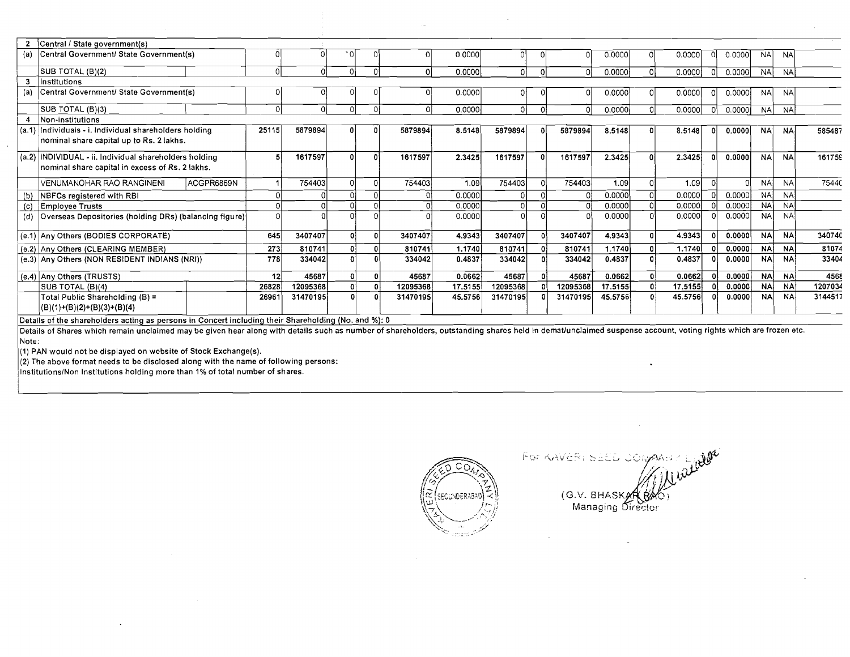|     | 2 Central / State government(s)                                                                           |                 |          |              |          |          |         |          |        |          |         |    |         |     |        |           |           |         |
|-----|-----------------------------------------------------------------------------------------------------------|-----------------|----------|--------------|----------|----------|---------|----------|--------|----------|---------|----|---------|-----|--------|-----------|-----------|---------|
| (a) | Central Government/ State Government(s)                                                                   |                 |          | ٠n           |          |          | 0.0000  |          |        |          | 0.0000  |    | 0.0000  | 01  | 0.0000 | <b>NA</b> | <b>NA</b> |         |
|     | SUB TOTAL (B)(2)                                                                                          |                 |          |              |          |          | 0.0000  | n١       |        |          | 0.0000  |    | 0.0000  | -01 | 0.0000 | <b>NA</b> | <b>NA</b> |         |
| 3   | Institutions                                                                                              |                 |          |              |          |          |         |          |        |          |         |    |         |     |        |           |           |         |
| (a) | Central Government/ State Government(s)                                                                   |                 |          |              |          |          | 0.0000  |          |        |          | 0.0000  |    | 0.0000  | -OL | 0.0000 | <b>NA</b> | <b>NA</b> |         |
|     | SUB TOTAL (B)(3)                                                                                          | £               |          |              | $\Omega$ | ∩        | 0.0000  | ΩĹ       | $\cap$ |          | 0.0000  |    | 0.0000  | -OI | 0.0000 | NA I      | <b>NA</b> |         |
|     | Non-institutions                                                                                          |                 |          |              |          |          |         |          |        |          |         |    |         |     |        |           |           |         |
|     | (a.1) Individuals - i. individual shareholders holding<br>nominal share capital up to Rs. 2 lakhs.        | 25115           | 5879894  |              |          | 5879894  | 8.5148  | 5879894  |        | 5879894  | 8.5148  |    | 8.5148  | -01 | 0.0000 | <b>NA</b> | NА        | 585487  |
|     | (a.2) INDIVIDUAL - ii. Individual shareholders holding<br>nominal share capital in excess of Rs. 2 lakhs. |                 | 1617597  |              |          | 1617597  | 2.3425  | 1617597  | ΩI     | 1617597  | 2.3425  |    | 2.3425  |     | 0.0000 | <b>NA</b> | <b>NA</b> | 161759  |
|     | <b>VENUMANOHAR RAO RANGINENI</b><br>ACGPR6869N                                                            |                 | 754403   |              |          | 754403   | 1,09    | 754403   |        | 754403   | 1.09    |    | 1.09    |     |        | <b>NA</b> | <b>NA</b> | 75440   |
|     | <b>NBFCs registered with RBI</b>                                                                          |                 |          |              |          |          | 0.0000  |          |        |          | 0.0000  |    | 0.0000  |     | 0.0000 | <b>NA</b> | <b>NA</b> |         |
| (c) | Employee Trusts                                                                                           |                 |          |              |          |          | 0.0000  |          |        |          | 0.0000  |    | 0.0000  |     | 0.0000 | <b>NA</b> | <b>NA</b> |         |
|     | (d) Overseas Depositories (holding DRs) (balancing figure)                                                |                 |          |              |          |          | 0.0000  |          |        |          | 0.0000  |    | 0.0000  |     | 0.0000 | <b>NA</b> | <b>NA</b> |         |
|     | (e.1) Any Others (BODIES CORPORATE)                                                                       | 645             | 3407407  | $\mathbf{0}$ | $\theta$ | 3407407  | 4.9343  | 3407407  |        | 3407407  | 4.9343  |    | 4.9343  |     | 0.0000 | <b>NA</b> | <b>NA</b> | 340740  |
|     | (e.2) Any Others (CLEARING MEMBER)                                                                        | 273             | 810741   |              |          | 810741   | 1.1740  | 810741   |        | 810741   | 1.1740  |    | 1.1740  |     | 0.0000 | <b>NA</b> | <b>NA</b> | 81074   |
|     | (e.3) Any Others (NON RESIDENT INDIANS (NRI))                                                             | 778 l           | 334042   |              |          | 334042   | 0.4837  | 334042   |        | 334042   | 0.4837  |    | 0.4837  |     | 0.0000 | <b>NA</b> | <b>NA</b> | 33404   |
|     | (e.4) Any Others (TRUSTS)                                                                                 | 12 <sub>l</sub> | 45687    | ٥l           |          | 45687    | 0.0662  | 45687    |        | 45687    | 0.0662  | Ωł | 0.0662  |     | 0.0000 | <b>NA</b> | <b>NA</b> | 4568    |
|     | SUB TOTAL (B)(4)                                                                                          | 26828           | 12095368 |              |          | 12095368 | 17.5155 | 12095368 |        | 12095368 | 17.5155 |    | 17.5155 |     | 0.0000 | <b>NA</b> | <b>NA</b> | 1207034 |
|     | Total Public Shareholding (B) =<br>$(B)(1)+(B)(2)+(B)(3)+(B)(4)$                                          | 26961           | 31470195 |              |          | 31470195 | 45,5756 | 31470195 |        | 31470195 | 45.5756 |    | 45.5756 |     | 0.0000 | <b>NA</b> | <b>NA</b> | 3144517 |
|     |                                                                                                           |                 |          |              |          |          |         |          |        |          |         |    |         |     |        |           |           |         |

Details of the shareholders acting as persons in Concert including their Shareholding (No. and %): 0

Details of Shares which remain unclaimed may be given hear along with details such as number of shareholders, outstanding shares held in demat/unclaimed suspense account, voting rights which are frozen etc. Note:

**(1)** PAN would not be dispiayed on website of Stock Exchange(s).

**(2)** The above format needs to be disclosed along with the name of following persons:

lnstitutionslNon Institutions holding more than **1%** of total number of shares.



For KAVERI SEED JOMAN (G.V. BHASK Managing Di